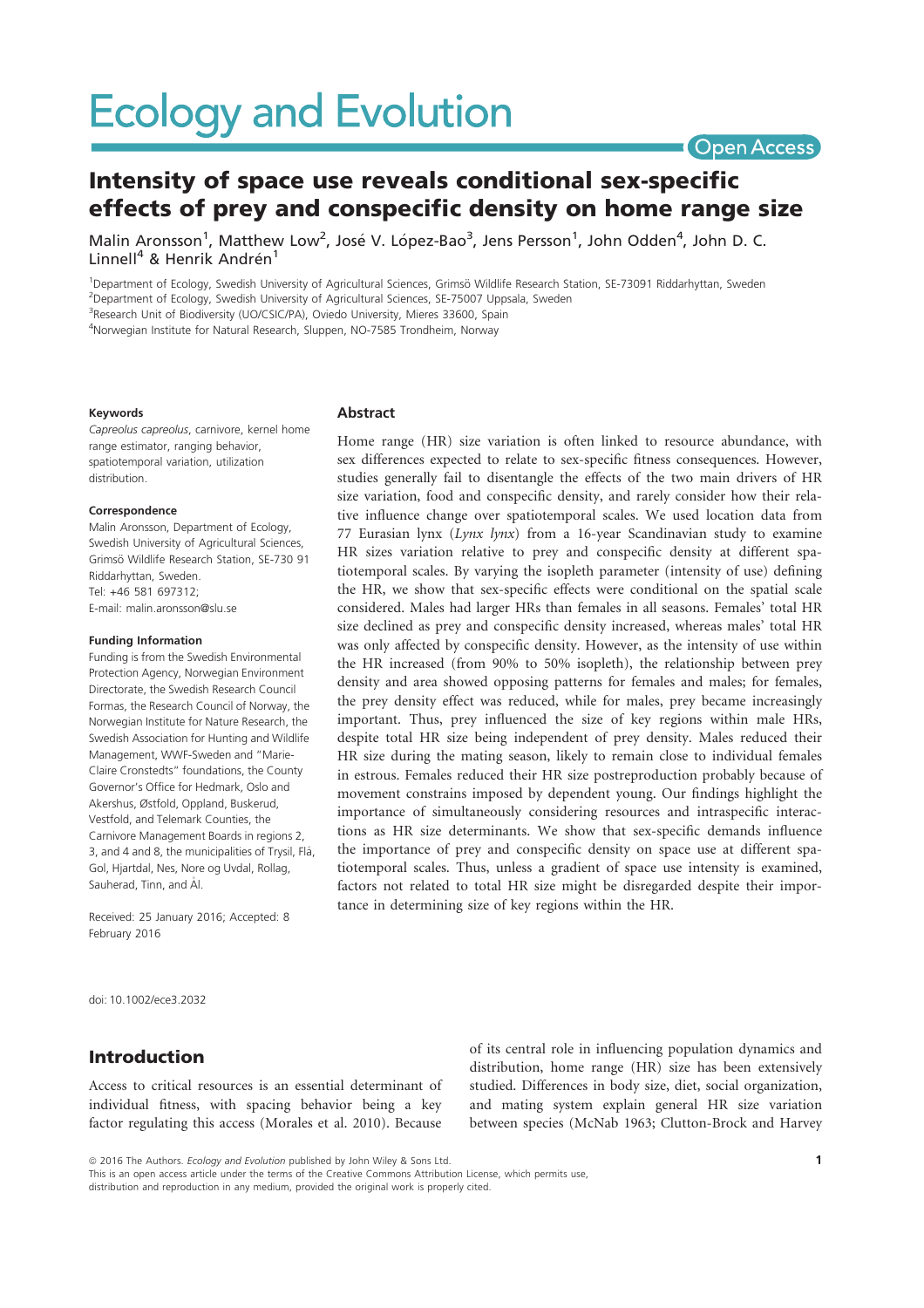# **Ecology and Evolution**

# Open Access

# Intensity of space use reveals conditional sex-specific effects of prey and conspecific density on home range size

Malin Aronsson<sup>1</sup>, Matthew Low<sup>2</sup>, José V. López-Bao<sup>3</sup>, Jens Persson<sup>1</sup>, John Odden<sup>4</sup>, John D. C. Linnell<sup>4</sup> & Henrik Andrén<sup>1</sup>

1Department of Ecology, Swedish University of Agricultural Sciences, Grimsö Wildlife Research Station, SE-73091 Riddarhyttan, Sweden <sup>2</sup>Department of Ecology, Swedish University of Agricultural Sciences, SE-75007 Uppsala, Sweden

<sup>3</sup>Research Unit of Biodiversity (UO/CSIC/PA), Oviedo University, Mieres 33600, Spain

<sup>4</sup>Norwegian Institute for Natural Research, Sluppen, NO-7585 Trondheim, Norway

#### Keywords

Capreolus capreolus, carnivore, kernel home range estimator, ranging behavior, spatiotemporal variation, utilization distribution.

#### **Correspondence**

Malin Aronsson, Department of Ecology, Swedish University of Agricultural Sciences, Grimsö Wildlife Research Station, SE-730 91 Riddarhyttan, Sweden. Tel: +46 581 697312; E-mail: malin.aronsson@slu.se

#### Funding Information

Funding is from the Swedish Environmental Protection Agency, Norwegian Environment Directorate, the Swedish Research Council Formas, the Research Council of Norway, the Norwegian Institute for Nature Research, the Swedish Association for Hunting and Wildlife Management, WWF-Sweden and "Marie-Claire Cronstedts" foundations, the County Governor's Office for Hedmark, Oslo and Akershus, Østfold, Oppland, Buskerud, Vestfold, and Telemark Counties, the Carnivore Management Boards in regions 2, 3, and 4 and 8, the municipalities of Trysil, Flå. Gol, Hjartdal, Nes, Nore og Uvdal, Rollag, Sauherad, Tinn, and Ål.

Received: 25 January 2016; Accepted: 8 February 2016

#### Abstract

Home range (HR) size variation is often linked to resource abundance, with sex differences expected to relate to sex-specific fitness consequences. However, studies generally fail to disentangle the effects of the two main drivers of HR size variation, food and conspecific density, and rarely consider how their relative influence change over spatiotemporal scales. We used location data from 77 Eurasian lynx (Lynx lynx) from a 16-year Scandinavian study to examine HR sizes variation relative to prey and conspecific density at different spatiotemporal scales. By varying the isopleth parameter (intensity of use) defining the HR, we show that sex-specific effects were conditional on the spatial scale considered. Males had larger HRs than females in all seasons. Females' total HR size declined as prey and conspecific density increased, whereas males' total HR was only affected by conspecific density. However, as the intensity of use within the HR increased (from 90% to 50% isopleth), the relationship between prey density and area showed opposing patterns for females and males; for females, the prey density effect was reduced, while for males, prey became increasingly important. Thus, prey influenced the size of key regions within male HRs, despite total HR size being independent of prey density. Males reduced their HR size during the mating season, likely to remain close to individual females in estrous. Females reduced their HR size postreproduction probably because of movement constrains imposed by dependent young. Our findings highlight the importance of simultaneously considering resources and intraspecific interactions as HR size determinants. We show that sex-specific demands influence the importance of prey and conspecific density on space use at different spatiotemporal scales. Thus, unless a gradient of space use intensity is examined, factors not related to total HR size might be disregarded despite their importance in determining size of key regions within the HR.

doi: 10.1002/ece3.2032

# Introduction

Access to critical resources is an essential determinant of individual fitness, with spacing behavior being a key factor regulating this access (Morales et al. 2010). Because

of its central role in influencing population dynamics and distribution, home range (HR) size has been extensively studied. Differences in body size, diet, social organization, and mating system explain general HR size variation between species (McNab 1963; Clutton-Brock and Harvey

ª 2016 The Authors. Ecology and Evolution published by John Wiley & Sons Ltd.

This is an open access article under the terms of the Creative Commons Attribution License, which permits use, distribution and reproduction in any medium, provided the original work is properly cited.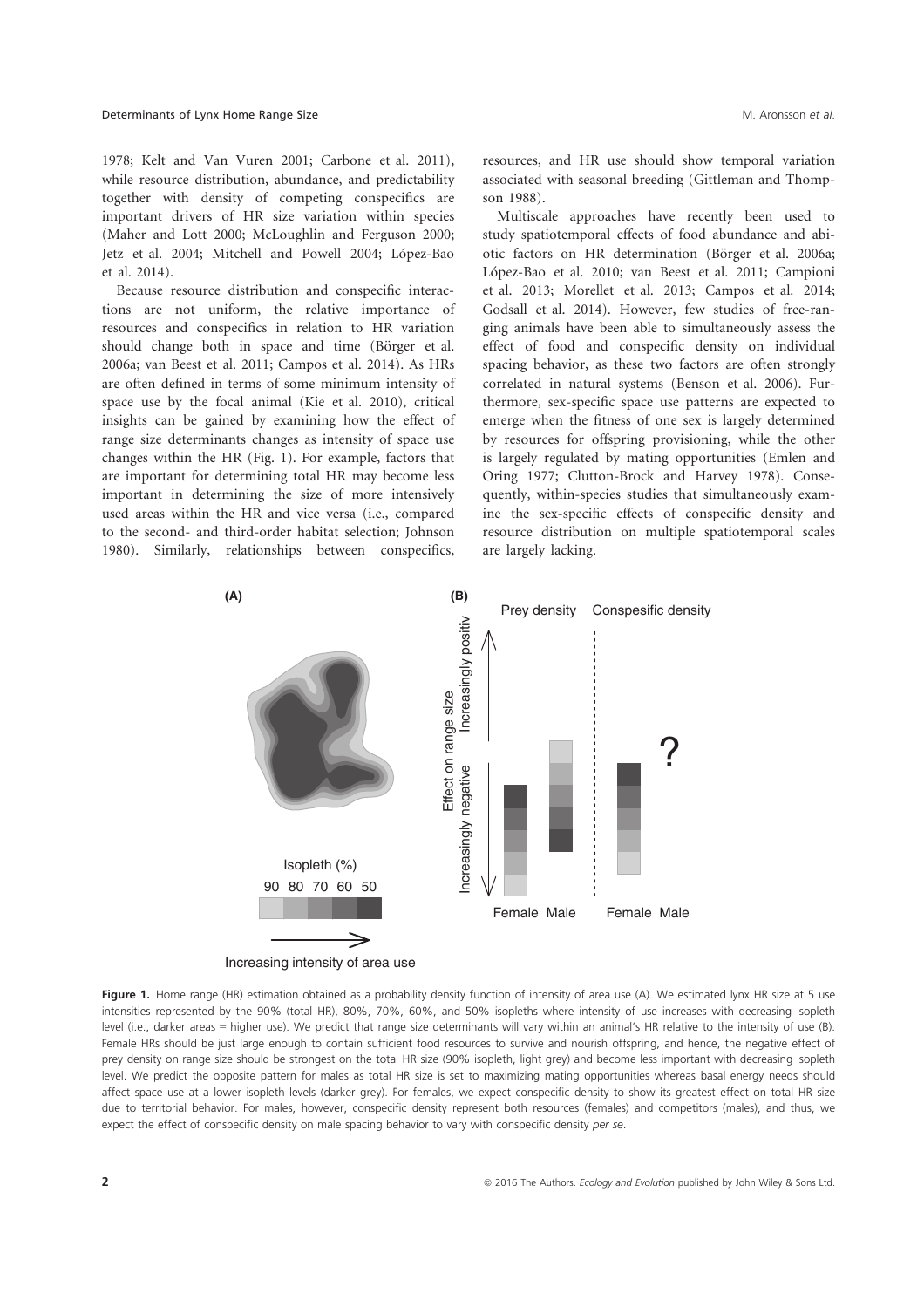1978; Kelt and Van Vuren 2001; Carbone et al. 2011), while resource distribution, abundance, and predictability together with density of competing conspecifics are important drivers of HR size variation within species (Maher and Lott 2000; McLoughlin and Ferguson 2000; Jetz et al. 2004; Mitchell and Powell 2004; López-Bao et al. 2014).

Because resource distribution and conspecific interactions are not uniform, the relative importance of resources and conspecifics in relation to HR variation should change both in space and time (Börger et al. 2006a; van Beest et al. 2011; Campos et al. 2014). As HRs are often defined in terms of some minimum intensity of space use by the focal animal (Kie et al. 2010), critical insights can be gained by examining how the effect of range size determinants changes as intensity of space use changes within the HR (Fig. 1). For example, factors that are important for determining total HR may become less important in determining the size of more intensively used areas within the HR and vice versa (i.e., compared to the second- and third-order habitat selection; Johnson 1980). Similarly, relationships between conspecifics,

resources, and HR use should show temporal variation associated with seasonal breeding (Gittleman and Thompson 1988).

Multiscale approaches have recently been used to study spatiotemporal effects of food abundance and abiotic factors on HR determination (Börger et al. 2006a; López-Bao et al. 2010; van Beest et al. 2011; Campioni et al. 2013; Morellet et al. 2013; Campos et al. 2014; Godsall et al. 2014). However, few studies of free-ranging animals have been able to simultaneously assess the effect of food and conspecific density on individual spacing behavior, as these two factors are often strongly correlated in natural systems (Benson et al. 2006). Furthermore, sex-specific space use patterns are expected to emerge when the fitness of one sex is largely determined by resources for offspring provisioning, while the other is largely regulated by mating opportunities (Emlen and Oring 1977; Clutton-Brock and Harvey 1978). Consequently, within-species studies that simultaneously examine the sex-specific effects of conspecific density and resource distribution on multiple spatiotemporal scales are largely lacking.



Figure 1. Home range (HR) estimation obtained as a probability density function of intensity of area use (A). We estimated lynx HR size at 5 use intensities represented by the 90% (total HR), 80%, 70%, 60%, and 50% isopleths where intensity of use increases with decreasing isopleth level (i.e., darker areas = higher use). We predict that range size determinants will vary within an animal's HR relative to the intensity of use (B). Female HRs should be just large enough to contain sufficient food resources to survive and nourish offspring, and hence, the negative effect of prey density on range size should be strongest on the total HR size (90% isopleth, light grey) and become less important with decreasing isopleth level. We predict the opposite pattern for males as total HR size is set to maximizing mating opportunities whereas basal energy needs should affect space use at a lower isopleth levels (darker grey). For females, we expect conspecific density to show its greatest effect on total HR size due to territorial behavior. For males, however, conspecific density represent both resources (females) and competitors (males), and thus, we expect the effect of conspecific density on male spacing behavior to vary with conspecific density per se.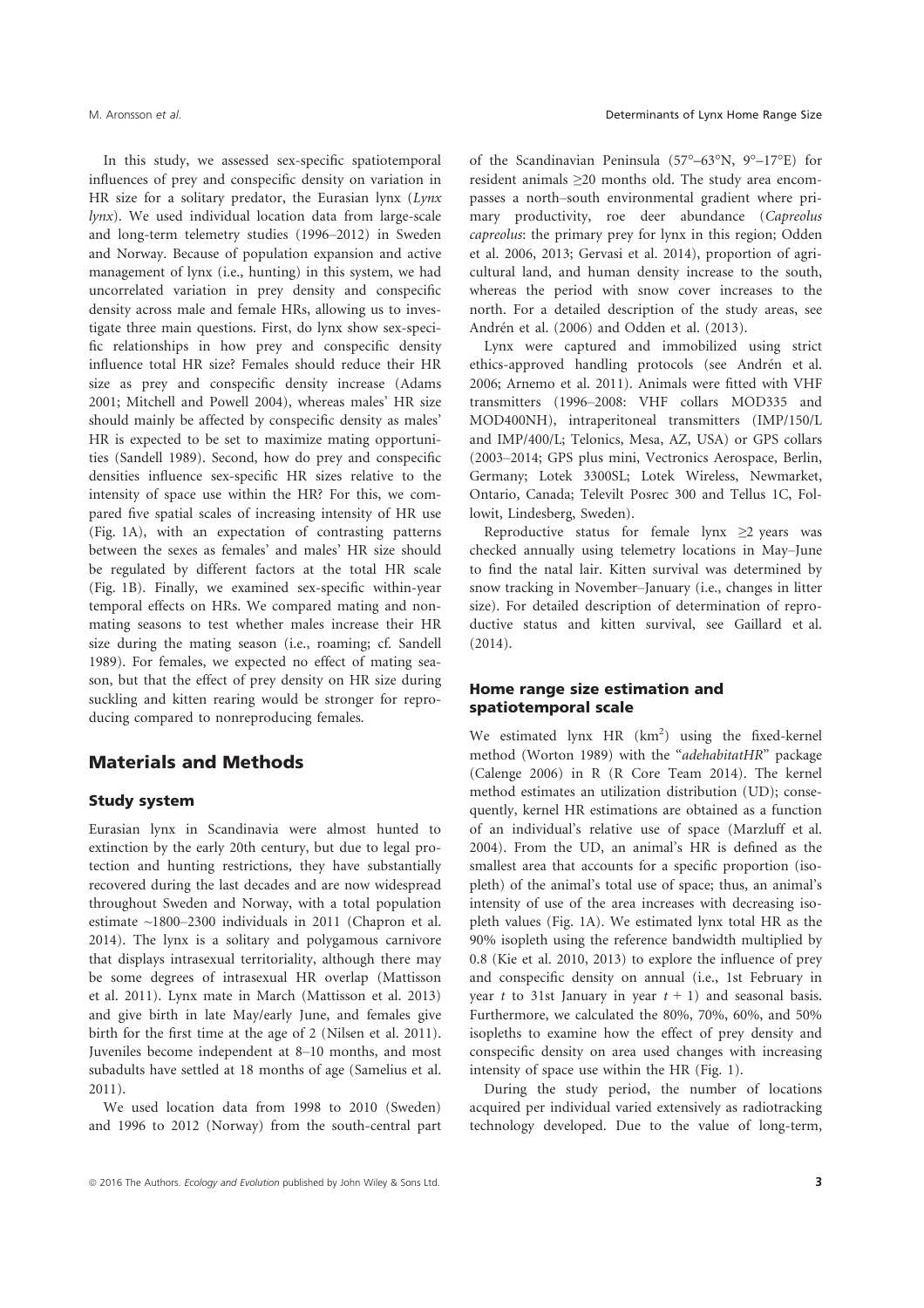In this study, we assessed sex-specific spatiotemporal influences of prey and conspecific density on variation in HR size for a solitary predator, the Eurasian lynx (Lynx lynx). We used individual location data from large-scale and long-term telemetry studies (1996–2012) in Sweden and Norway. Because of population expansion and active management of lynx (i.e., hunting) in this system, we had uncorrelated variation in prey density and conspecific density across male and female HRs, allowing us to investigate three main questions. First, do lynx show sex-specific relationships in how prey and conspecific density influence total HR size? Females should reduce their HR size as prey and conspecific density increase (Adams 2001; Mitchell and Powell 2004), whereas males' HR size should mainly be affected by conspecific density as males' HR is expected to be set to maximize mating opportunities (Sandell 1989). Second, how do prey and conspecific densities influence sex-specific HR sizes relative to the intensity of space use within the HR? For this, we compared five spatial scales of increasing intensity of HR use (Fig. 1A), with an expectation of contrasting patterns between the sexes as females' and males' HR size should be regulated by different factors at the total HR scale (Fig. 1B). Finally, we examined sex-specific within-year temporal effects on HRs. We compared mating and nonmating seasons to test whether males increase their HR size during the mating season (i.e., roaming; cf. Sandell 1989). For females, we expected no effect of mating season, but that the effect of prey density on HR size during suckling and kitten rearing would be stronger for reproducing compared to nonreproducing females.

# Materials and Methods

#### Study system

Eurasian lynx in Scandinavia were almost hunted to extinction by the early 20th century, but due to legal protection and hunting restrictions, they have substantially recovered during the last decades and are now widespread throughout Sweden and Norway, with a total population estimate ~1800–2300 individuals in 2011 (Chapron et al. 2014). The lynx is a solitary and polygamous carnivore that displays intrasexual territoriality, although there may be some degrees of intrasexual HR overlap (Mattisson et al. 2011). Lynx mate in March (Mattisson et al. 2013) and give birth in late May/early June, and females give birth for the first time at the age of 2 (Nilsen et al. 2011). Juveniles become independent at 8–10 months, and most subadults have settled at 18 months of age (Samelius et al. 2011).

We used location data from 1998 to 2010 (Sweden) and 1996 to 2012 (Norway) from the south-central part

of the Scandinavian Peninsula (57°–63°N, 9°–17°E) for resident animals ≥20 months old. The study area encompasses a north–south environmental gradient where primary productivity, roe deer abundance (Capreolus capreolus: the primary prey for lynx in this region; Odden et al. 2006, 2013; Gervasi et al. 2014), proportion of agricultural land, and human density increase to the south, whereas the period with snow cover increases to the north. For a detailed description of the study areas, see Andrén et al. (2006) and Odden et al. (2013).

Lynx were captured and immobilized using strict ethics-approved handling protocols (see Andrén et al. 2006; Arnemo et al. 2011). Animals were fitted with VHF transmitters (1996–2008: VHF collars MOD335 and MOD400NH), intraperitoneal transmitters (IMP/150/L and IMP/400/L; Telonics, Mesa, AZ, USA) or GPS collars (2003–2014; GPS plus mini, Vectronics Aerospace, Berlin, Germany; Lotek 3300SL; Lotek Wireless, Newmarket, Ontario, Canada; Televilt Posrec 300 and Tellus 1C, Followit, Lindesberg, Sweden).

Reproductive status for female lynx ≥2 years was checked annually using telemetry locations in May–June to find the natal lair. Kitten survival was determined by snow tracking in November–January (i.e., changes in litter size). For detailed description of determination of reproductive status and kitten survival, see Gaillard et al.  $(2014)$ 

## Home range size estimation and spatiotemporal scale

We estimated lynx  $HR (km^2)$  using the fixed-kernel method (Worton 1989) with the "adehabitatHR" package (Calenge 2006) in R (R Core Team 2014). The kernel method estimates an utilization distribution (UD); consequently, kernel HR estimations are obtained as a function of an individual's relative use of space (Marzluff et al. 2004). From the UD, an animal's HR is defined as the smallest area that accounts for a specific proportion (isopleth) of the animal's total use of space; thus, an animal's intensity of use of the area increases with decreasing isopleth values (Fig. 1A). We estimated lynx total HR as the 90% isopleth using the reference bandwidth multiplied by 0.8 (Kie et al. 2010, 2013) to explore the influence of prey and conspecific density on annual (i.e., 1st February in year t to 31st January in year  $t + 1$ ) and seasonal basis. Furthermore, we calculated the 80%, 70%, 60%, and 50% isopleths to examine how the effect of prey density and conspecific density on area used changes with increasing intensity of space use within the HR (Fig. 1).

During the study period, the number of locations acquired per individual varied extensively as radiotracking technology developed. Due to the value of long-term,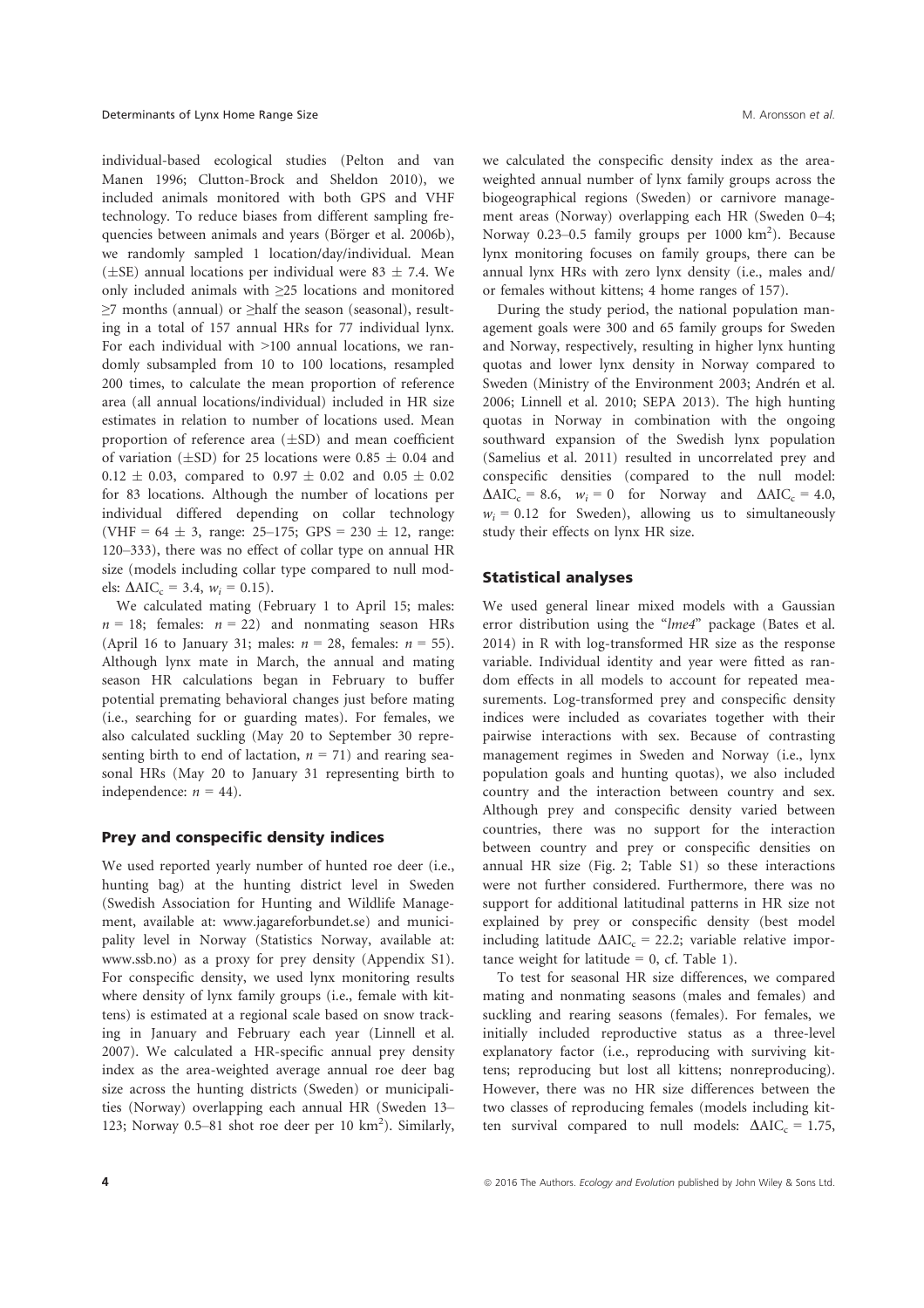individual-based ecological studies (Pelton and van Manen 1996; Clutton-Brock and Sheldon 2010), we included animals monitored with both GPS and VHF technology. To reduce biases from different sampling frequencies between animals and years (Börger et al. 2006b), we randomly sampled 1 location/day/individual. Mean ( $\pm$ SE) annual locations per individual were 83  $\pm$  7.4. We only included animals with ≥25 locations and monitored ≥7 months (annual) or ≥half the season (seasonal), resulting in a total of 157 annual HRs for 77 individual lynx. For each individual with >100 annual locations, we randomly subsampled from 10 to 100 locations, resampled 200 times, to calculate the mean proportion of reference area (all annual locations/individual) included in HR size estimates in relation to number of locations used. Mean proportion of reference area  $(\pm SD)$  and mean coefficient of variation ( $\pm$ SD) for 25 locations were 0.85  $\pm$  0.04 and  $0.12 \pm 0.03$ , compared to  $0.97 \pm 0.02$  and  $0.05 \pm 0.02$ for 83 locations. Although the number of locations per individual differed depending on collar technology (VHF =  $64 \pm 3$ , range: 25-175; GPS = 230  $\pm$  12, range: 120–333), there was no effect of collar type on annual HR size (models including collar type compared to null models:  $\Delta AIC_c = 3.4$ ,  $w_i = 0.15$ ).

We calculated mating (February 1 to April 15; males:  $n = 18$ ; females:  $n = 22$ ) and nonmating season HRs (April 16 to January 31; males:  $n = 28$ , females:  $n = 55$ ). Although lynx mate in March, the annual and mating season HR calculations began in February to buffer potential premating behavioral changes just before mating (i.e., searching for or guarding mates). For females, we also calculated suckling (May 20 to September 30 representing birth to end of lactation,  $n = 71$ ) and rearing seasonal HRs (May 20 to January 31 representing birth to independence:  $n = 44$ ).

#### Prey and conspecific density indices

We used reported yearly number of hunted roe deer (i.e., hunting bag) at the hunting district level in Sweden (Swedish Association for Hunting and Wildlife Management, available at: www.jagareforbundet.se) and municipality level in Norway (Statistics Norway, available at: www.ssb.no) as a proxy for prey density (Appendix S1). For conspecific density, we used lynx monitoring results where density of lynx family groups (i.e., female with kittens) is estimated at a regional scale based on snow tracking in January and February each year (Linnell et al. 2007). We calculated a HR-specific annual prey density index as the area-weighted average annual roe deer bag size across the hunting districts (Sweden) or municipalities (Norway) overlapping each annual HR (Sweden 13– 123; Norway 0.5-81 shot roe deer per 10 km<sup>2</sup>). Similarly,

we calculated the conspecific density index as the areaweighted annual number of lynx family groups across the biogeographical regions (Sweden) or carnivore management areas (Norway) overlapping each HR (Sweden 0–4; Norway 0.23-0.5 family groups per 1000 km<sup>2</sup>). Because lynx monitoring focuses on family groups, there can be annual lynx HRs with zero lynx density (i.e., males and/ or females without kittens; 4 home ranges of 157).

During the study period, the national population management goals were 300 and 65 family groups for Sweden and Norway, respectively, resulting in higher lynx hunting quotas and lower lynx density in Norway compared to Sweden (Ministry of the Environment 2003; Andrén et al. 2006; Linnell et al. 2010; SEPA 2013). The high hunting quotas in Norway in combination with the ongoing southward expansion of the Swedish lynx population (Samelius et al. 2011) resulted in uncorrelated prey and conspecific densities (compared to the null model:  $\Delta AIC_c = 8.6$ ,  $w_i = 0$  for Norway and  $\Delta AIC_c = 4.0$ ,  $w_i = 0.12$  for Sweden), allowing us to simultaneously study their effects on lynx HR size.

#### Statistical analyses

We used general linear mixed models with a Gaussian error distribution using the "lme4" package (Bates et al. 2014) in R with log-transformed HR size as the response variable. Individual identity and year were fitted as random effects in all models to account for repeated measurements. Log-transformed prey and conspecific density indices were included as covariates together with their pairwise interactions with sex. Because of contrasting management regimes in Sweden and Norway (i.e., lynx population goals and hunting quotas), we also included country and the interaction between country and sex. Although prey and conspecific density varied between countries, there was no support for the interaction between country and prey or conspecific densities on annual HR size (Fig. 2; Table S1) so these interactions were not further considered. Furthermore, there was no support for additional latitudinal patterns in HR size not explained by prey or conspecific density (best model including latitude  $\Delta AIC_c = 22.2$ ; variable relative importance weight for latitude  $= 0$ , cf. Table 1).

To test for seasonal HR size differences, we compared mating and nonmating seasons (males and females) and suckling and rearing seasons (females). For females, we initially included reproductive status as a three-level explanatory factor (i.e., reproducing with surviving kittens; reproducing but lost all kittens; nonreproducing). However, there was no HR size differences between the two classes of reproducing females (models including kitten survival compared to null models:  $\Delta AIC_c = 1.75$ ,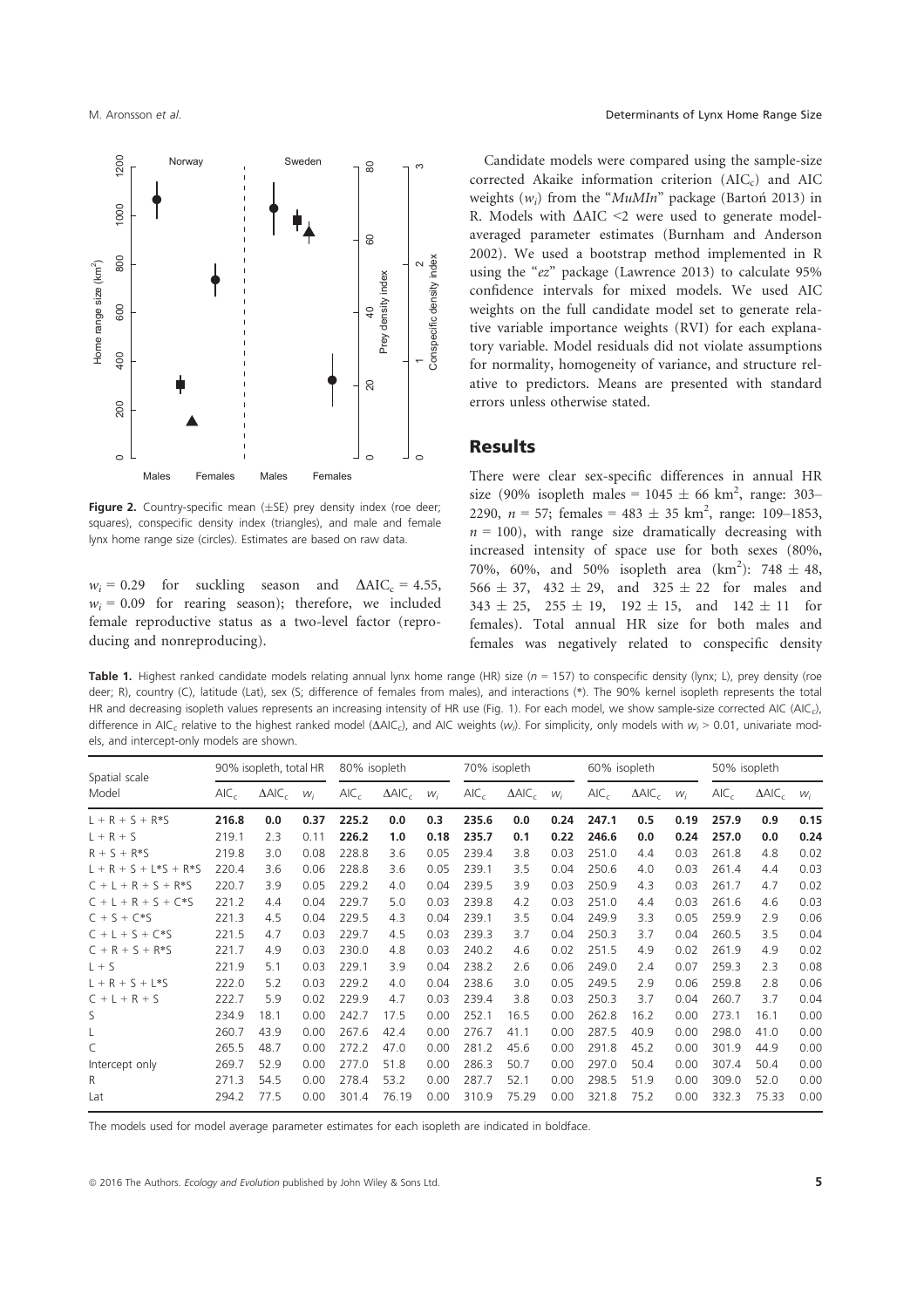

Figure 2. Country-specific mean  $(\pm$ SE) prey density index (roe deer; squares), conspecific density index (triangles), and male and female lynx home range size (circles). Estimates are based on raw data.

 $w_i = 0.29$  for suckling season and  $\Delta AIC_c = 4.55$ ,  $w_i = 0.09$  for rearing season); therefore, we included female reproductive status as a two-level factor (reproducing and nonreproducing).

Candidate models were compared using the sample-size corrected Akaike information criterion  $(AIC<sub>c</sub>)$  and  $AIC$ weights  $(w_i)$  from the "MuMIn" package (Barton 2013) in R. Models with  $\Delta AIC \leq 2$  were used to generate modelaveraged parameter estimates (Burnham and Anderson 2002). We used a bootstrap method implemented in R using the "ez" package (Lawrence 2013) to calculate 95% confidence intervals for mixed models. We used AIC weights on the full candidate model set to generate relative variable importance weights (RVI) for each explanatory variable. Model residuals did not violate assumptions for normality, homogeneity of variance, and structure relative to predictors. Means are presented with standard errors unless otherwise stated.

# **Results**

There were clear sex-specific differences in annual HR size (90% isopleth males =  $1045 \pm 66$  km<sup>2</sup>, range: 303– 2290,  $n = 57$ ; females =  $483 \pm 35$  km<sup>2</sup>, range: 109–1853,  $n = 100$ ), with range size dramatically decreasing with increased intensity of space use for both sexes (80%, 70%, 60%, and 50% isopleth area  $(km^2)$ : 748  $\pm$  48,  $566 \pm 37$ ,  $432 \pm 29$ , and  $325 \pm 22$  for males and  $343 \pm 25$ ,  $255 \pm 19$ ,  $192 \pm 15$ , and  $142 \pm 11$  for females). Total annual HR size for both males and females was negatively related to conspecific density

Table 1. Highest ranked candidate models relating annual lynx home range (HR) size ( $n = 157$ ) to conspecific density (lynx; L), prey density (roe deer; R), country (C), latitude (Lat), sex (S; difference of females from males), and interactions (\*). The 90% kernel isopleth represents the total HR and decreasing isopleth values represents an increasing intensity of HR use (Fig. 1). For each model, we show sample-size corrected AIC (AIC<sub>c</sub>), difference in AIC<sub>c</sub> relative to the highest ranked model ( $\Delta$ AIC<sub>c</sub>), and AIC weights (w<sub>i</sub>). For simplicity, only models with w<sub>i</sub> > 0.01, univariate models, and intercept-only models are shown.

| Spatial scale             | 90% isopleth, total HR |                     |       | 80% isopleth     |                |       | 70% isopleth     |                |       | 60% isopleth     |                |       | 50% isopleth     |                           |       |
|---------------------------|------------------------|---------------------|-------|------------------|----------------|-------|------------------|----------------|-------|------------------|----------------|-------|------------------|---------------------------|-------|
| Model                     | AIC <sub>c</sub>       | $\Delta$ AIC $_{c}$ | $W_i$ | AIC <sub>c</sub> | $\Delta AIC_c$ | $W_i$ | AIC <sub>c</sub> | $\Delta AIC_c$ | $W_i$ | AIC <sub>c</sub> | $\Delta AIC_c$ | $W_i$ | AIC <sub>c</sub> | $\Delta$ AIC <sub>c</sub> | $W_i$ |
| $L + R + S + R*S$         | 216.8                  | 0.0                 | 0.37  | 225.2            | 0.0            | 0.3   | 235.6            | 0.0            | 0.24  | 247.1            | 0.5            | 0.19  | 257.9            | 0.9                       | 0.15  |
| $L + R + S$               | 219.1                  | 2.3                 | 0.11  | 226.2            | 1.0            | 0.18  | 235.7            | 0.1            | 0.22  | 246.6            | 0.0            | 0.24  | 257.0            | 0.0                       | 0.24  |
| $R + S + R^*S$            | 219.8                  | 3.0                 | 0.08  | 228.8            | 3.6            | 0.05  | 239.4            | 3.8            | 0.03  | 251.0            | 4.4            | 0.03  | 261.8            | 4.8                       | 0.02  |
| $L + R + S + L^*S + R^*S$ | 220.4                  | 3.6                 | 0.06  | 228.8            | 3.6            | 0.05  | 239.1            | 3.5            | 0.04  | 250.6            | 4.0            | 0.03  | 261.4            | 4.4                       | 0.03  |
| $C + L + R + S + R*S$     | 220.7                  | 3.9                 | 0.05  | 229.2            | 4.0            | 0.04  | 239.5            | 3.9            | 0.03  | 250.9            | 4.3            | 0.03  | 261.7            | 4.7                       | 0.02  |
| $C + L + R + S + C*S$     | 221.2                  | 4.4                 | 0.04  | 229.7            | 5.0            | 0.03  | 239.8            | 4.2            | 0.03  | 251.0            | 4.4            | 0.03  | 261.6            | 4.6                       | 0.03  |
| $C + S + C*S$             | 221.3                  | 4.5                 | 0.04  | 229.5            | 4.3            | 0.04  | 239.1            | 3.5            | 0.04  | 249.9            | 3.3            | 0.05  | 259.9            | 2.9                       | 0.06  |
| $C + L + S + C^*S$        | 221.5                  | 4.7                 | 0.03  | 229.7            | 4.5            | 0.03  | 239.3            | 3.7            | 0.04  | 250.3            | 3.7            | 0.04  | 260.5            | 3.5                       | 0.04  |
| $C + R + S + R^*S$        | 221.7                  | 4.9                 | 0.03  | 230.0            | 4.8            | 0.03  | 240.2            | 4.6            | 0.02  | 251.5            | 4.9            | 0.02  | 261.9            | 4.9                       | 0.02  |
| $L + S$                   | 221.9                  | 5.1                 | 0.03  | 229.1            | 3.9            | 0.04  | 238.2            | 2.6            | 0.06  | 249.0            | 2.4            | 0.07  | 259.3            | 2.3                       | 0.08  |
| $L + R + S + L^*S$        | 222.0                  | 5.2                 | 0.03  | 229.2            | 4.0            | 0.04  | 238.6            | 3.0            | 0.05  | 249.5            | 2.9            | 0.06  | 259.8            | 2.8                       | 0.06  |
| $C + L + R + S$           | 222.7                  | 5.9                 | 0.02  | 229.9            | 4.7            | 0.03  | 239.4            | 3.8            | 0.03  | 250.3            | 3.7            | 0.04  | 260.7            | 3.7                       | 0.04  |
| S                         | 234.9                  | 18.1                | 0.00  | 242.7            | 17.5           | 0.00  | 252.1            | 16.5           | 0.00  | 262.8            | 16.2           | 0.00  | 273.1            | 16.1                      | 0.00  |
|                           | 260.7                  | 43.9                | 0.00  | 267.6            | 42.4           | 0.00  | 276.7            | 41.1           | 0.00  | 287.5            | 40.9           | 0.00  | 298.0            | 41.0                      | 0.00  |
| C                         | 265.5                  | 48.7                | 0.00  | 272.2            | 47.0           | 0.00  | 281.2            | 45.6           | 0.00  | 291.8            | 45.2           | 0.00  | 301.9            | 44.9                      | 0.00  |
| Intercept only            | 269.7                  | 52.9                | 0.00  | 277.0            | 51.8           | 0.00  | 286.3            | 50.7           | 0.00  | 297.0            | 50.4           | 0.00  | 307.4            | 50.4                      | 0.00  |
| R.                        | 271.3                  | 54.5                | 0.00  | 278.4            | 53.2           | 0.00  | 287.7            | 52.1           | 0.00  | 298.5            | 51.9           | 0.00  | 309.0            | 52.0                      | 0.00  |
| Lat                       | 294.2                  | 77.5                | 0.00  | 301.4            | 76.19          | 0.00  | 310.9            | 75.29          | 0.00  | 321.8            | 75.2           | 0.00  | 332.3            | 75.33                     | 0.00  |

The models used for model average parameter estimates for each isopleth are indicated in boldface.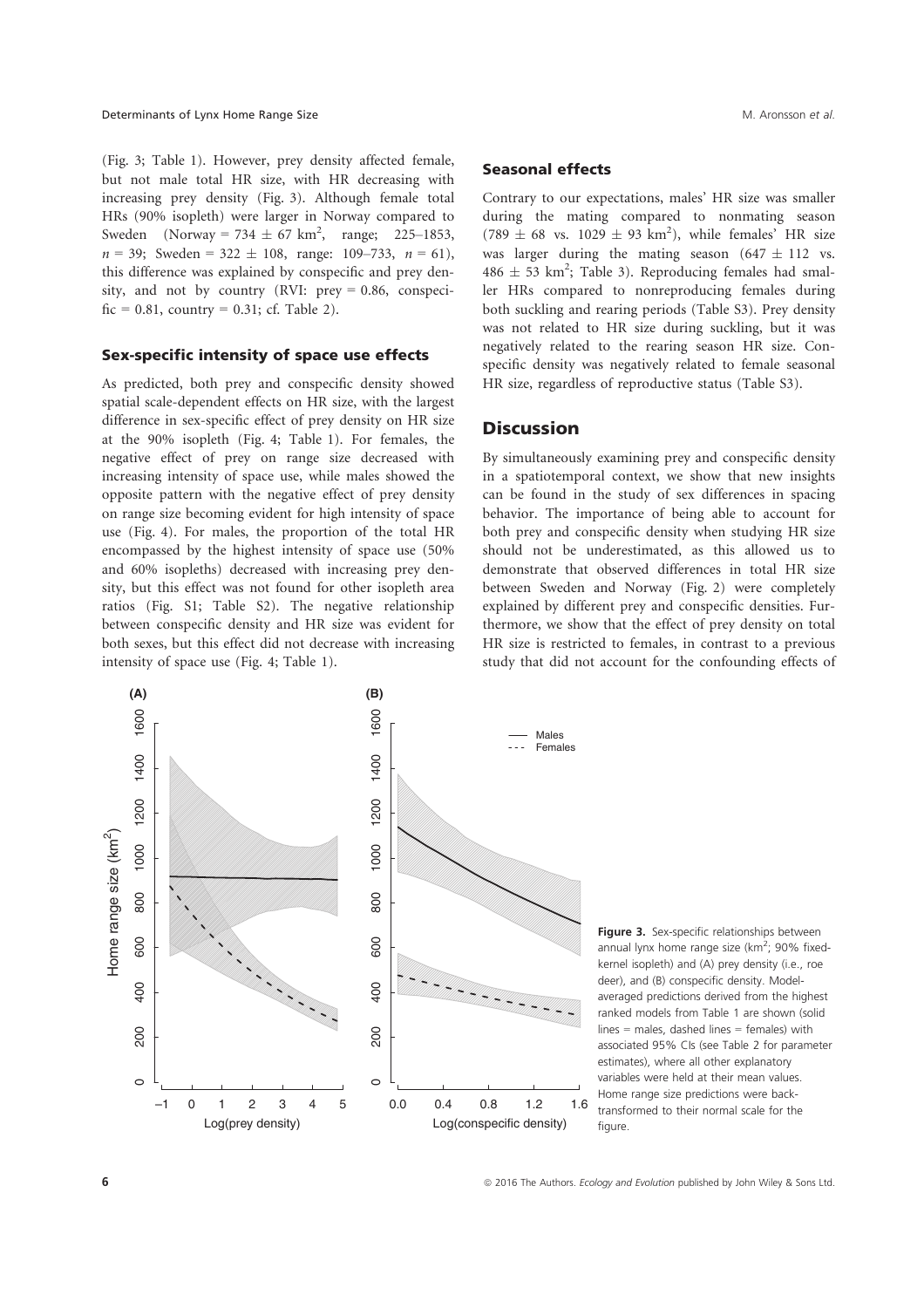(Fig. 3; Table 1). However, prey density affected female, but not male total HR size, with HR decreasing with increasing prey density (Fig. 3). Although female total HRs (90% isopleth) were larger in Norway compared to Sweden (Norway = 734  $\pm$  67 km<sup>2</sup>, range; 225–1853,  $n = 39$ ; Sweden = 322  $\pm$  108, range: 109–733,  $n = 61$ ), this difference was explained by conspecific and prey density, and not by country (RVI: prey = 0.86, conspeci $fic = 0.81$ , country = 0.31; cf. Table 2).

#### Sex-specific intensity of space use effects

As predicted, both prey and conspecific density showed spatial scale-dependent effects on HR size, with the largest difference in sex-specific effect of prey density on HR size at the 90% isopleth (Fig. 4; Table 1). For females, the negative effect of prey on range size decreased with increasing intensity of space use, while males showed the opposite pattern with the negative effect of prey density on range size becoming evident for high intensity of space use (Fig. 4). For males, the proportion of the total HR encompassed by the highest intensity of space use (50% and 60% isopleths) decreased with increasing prey density, but this effect was not found for other isopleth area ratios (Fig. S1; Table S2). The negative relationship between conspecific density and HR size was evident for both sexes, but this effect did not decrease with increasing intensity of space use (Fig. 4; Table 1).

#### Seasonal effects

Contrary to our expectations, males' HR size was smaller during the mating compared to nonmating season  $(789 \pm 68 \text{ vs. } 1029 \pm 93 \text{ km}^2)$ , while females' HR size was larger during the mating season  $(647 \pm 112 \text{ vs.})$  $486 \pm 53$  km<sup>2</sup>; Table 3). Reproducing females had smaller HRs compared to nonreproducing females during both suckling and rearing periods (Table S3). Prey density was not related to HR size during suckling, but it was negatively related to the rearing season HR size. Conspecific density was negatively related to female seasonal HR size, regardless of reproductive status (Table S3).

### **Discussion**

By simultaneously examining prey and conspecific density in a spatiotemporal context, we show that new insights can be found in the study of sex differences in spacing behavior. The importance of being able to account for both prey and conspecific density when studying HR size should not be underestimated, as this allowed us to demonstrate that observed differences in total HR size between Sweden and Norway (Fig. 2) were completely explained by different prey and conspecific densities. Furthermore, we show that the effect of prey density on total HR size is restricted to females, in contrast to a previous study that did not account for the confounding effects of

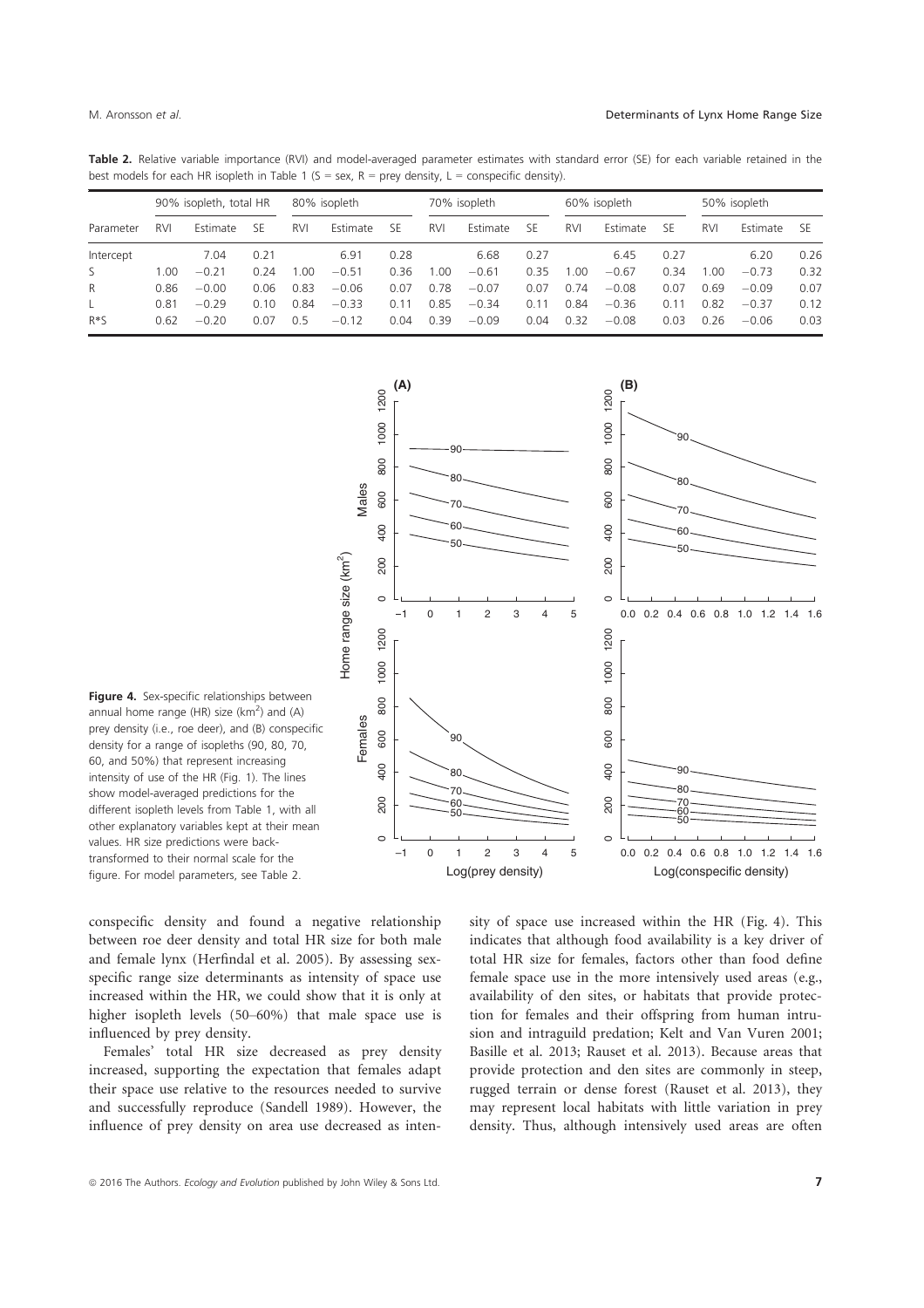|  |  | Table 2. Relative variable importance (RVI) and model-averaged parameter estimates with standard error (SE) for each variable retained in the |  |  |  |  |  |
|--|--|-----------------------------------------------------------------------------------------------------------------------------------------------|--|--|--|--|--|
|  |  | best models for each HR isopleth in Table 1 (S = sex, R = prey density, L = conspecific density).                                             |  |  |  |  |  |

| 90% isopleth, total HR |            | 80% isopleth |      |            | 70% isopleth |      |      | 60% isopleth |      |            | 50% isopleth |      |            |          |      |
|------------------------|------------|--------------|------|------------|--------------|------|------|--------------|------|------------|--------------|------|------------|----------|------|
| Parameter              | <b>RVI</b> | Estimate     | SΕ   | <b>RVI</b> | Estimate     | SE   | RVI  | Estimate     | SΕ   | <b>RVI</b> | Estimate     | SΕ   | <b>RVI</b> | Estimate | SE   |
| Intercept              |            | 7.04         | 0.21 |            | 6.91         | 0.28 |      | 6.68         | 0.27 |            | 6.45         | 0.27 |            | 6.20     | 0.26 |
| S.                     | 1.00       | $-0.21$      | 0.24 | 1.00       | $-0.51$      | 0.36 | .00  | $-0.61$      | 0.35 | 1.00       | $-0.67$      | 0.34 | 1.00       | $-0.73$  | 0.32 |
| R                      | 0.86       | $-0.00$      | 0.06 | 0.83       | $-0.06$      | 0.07 | 0.78 | $-0.07$      | 0.07 | 0.74       | $-0.08$      | 0.07 | 0.69       | $-0.09$  | 0.07 |
| L.                     | 0.81       | $-0.29$      | 0.10 | 0.84       | $-0.33$      | 0.11 | 0.85 | $-0.34$      | 0.11 | 0.84       | $-0.36$      | 0.11 | 0.82       | $-0.37$  | 0.12 |
| $R*S$                  | 0.62       | $-0.20$      | 0.07 | 0.5        | $-0.12$      | 0.04 | 0.39 | $-0.09$      | 0.04 | 0.32       | $-0.08$      | 0.03 | 0.26       | $-0.06$  | 0.03 |



Figure 4. Sex-specific relationships between annual home range (HR) size ( $km<sup>2</sup>$ ) and (A) prey density (i.e., roe deer), and (B) conspecific density for a range of isopleths (90, 80, 70, 60, and 50%) that represent increasing intensity of use of the HR (Fig. 1). The lines show model-averaged predictions for the different isopleth levels from Table 1, with all other explanatory variables kept at their mean values. HR size predictions were backtransformed to their normal scale for the figure. For model parameters, see Table 2.

conspecific density and found a negative relationship between roe deer density and total HR size for both male and female lynx (Herfindal et al. 2005). By assessing sexspecific range size determinants as intensity of space use increased within the HR, we could show that it is only at higher isopleth levels (50–60%) that male space use is influenced by prey density.

Females' total HR size decreased as prey density increased, supporting the expectation that females adapt their space use relative to the resources needed to survive and successfully reproduce (Sandell 1989). However, the influence of prey density on area use decreased as inten-

sity of space use increased within the HR (Fig. 4). This indicates that although food availability is a key driver of total HR size for females, factors other than food define female space use in the more intensively used areas (e.g., availability of den sites, or habitats that provide protection for females and their offspring from human intrusion and intraguild predation; Kelt and Van Vuren 2001; Basille et al. 2013; Rauset et al. 2013). Because areas that provide protection and den sites are commonly in steep, rugged terrain or dense forest (Rauset et al. 2013), they may represent local habitats with little variation in prey density. Thus, although intensively used areas are often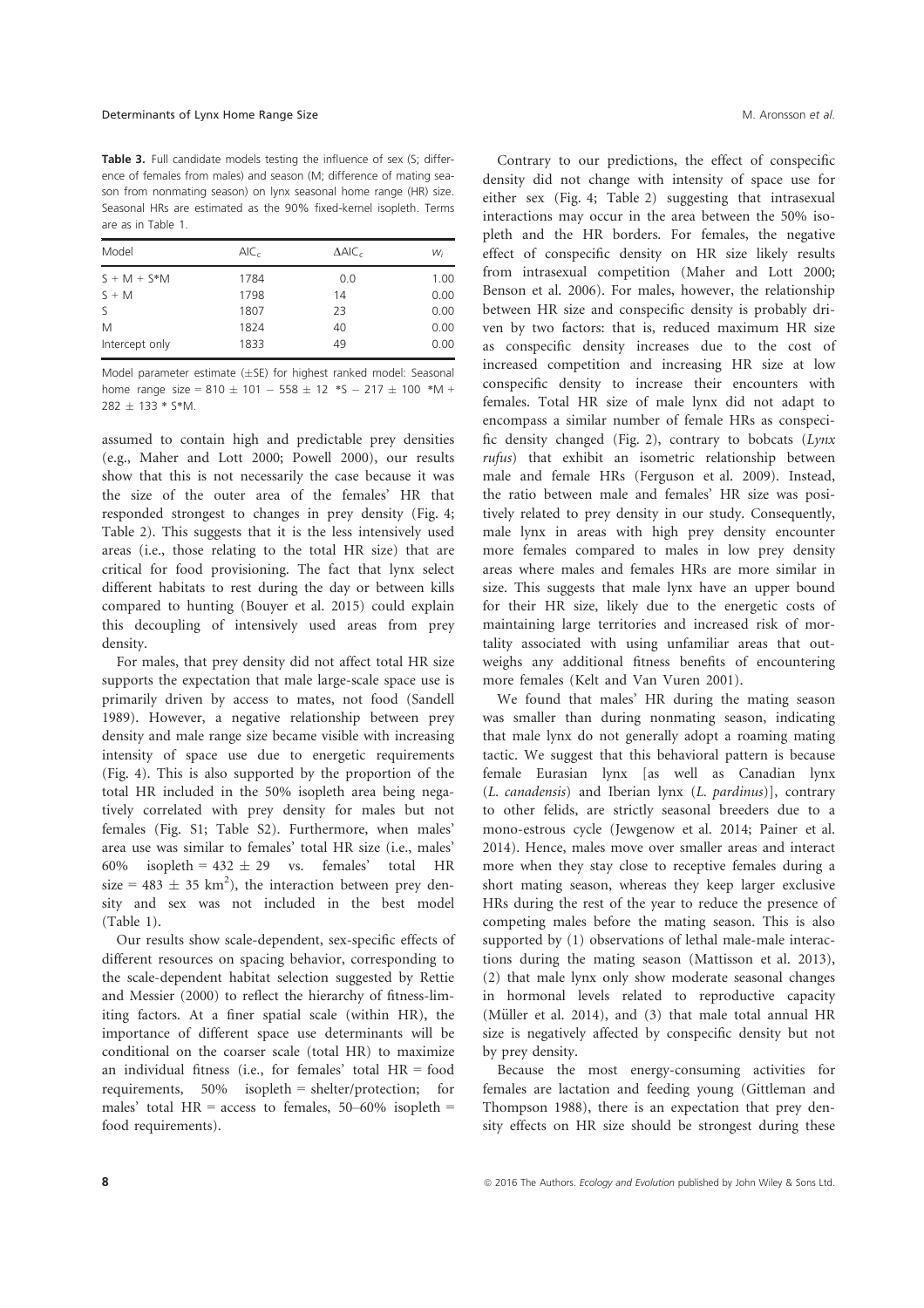Table 3. Full candidate models testing the influence of sex (S; difference of females from males) and season (M; difference of mating season from nonmating season) on lynx seasonal home range (HR) size. Seasonal HRs are estimated as the 90% fixed-kernel isopleth. Terms are as in Table 1.

| Model          | $AIC_{c}$ | $\Delta AIC_c$ | $W_i$ |
|----------------|-----------|----------------|-------|
| $S + M + S^*M$ | 1784      | 0.0            | 1.00  |
| $S + M$        | 1798      | 14             | 0.00  |
| <sup>5</sup>   | 1807      | 23             | 0.00  |
| M              | 1824      | 40             | 0.00  |
| Intercept only | 1833      | 49             | 0.00  |

Model parameter estimate  $(\pm$ SE) for highest ranked model: Seasonal home range size =  $810 \pm 101 - 558 \pm 12$  \*S  $- 217 \pm 100$  \*M +  $282 + 133 * S*N$ 

assumed to contain high and predictable prey densities (e.g., Maher and Lott 2000; Powell 2000), our results show that this is not necessarily the case because it was the size of the outer area of the females' HR that responded strongest to changes in prey density (Fig. 4; Table 2). This suggests that it is the less intensively used areas (i.e., those relating to the total HR size) that are critical for food provisioning. The fact that lynx select different habitats to rest during the day or between kills compared to hunting (Bouyer et al. 2015) could explain this decoupling of intensively used areas from prey density.

For males, that prey density did not affect total HR size supports the expectation that male large-scale space use is primarily driven by access to mates, not food (Sandell 1989). However, a negative relationship between prey density and male range size became visible with increasing intensity of space use due to energetic requirements (Fig. 4). This is also supported by the proportion of the total HR included in the 50% isopleth area being negatively correlated with prey density for males but not females (Fig. S1; Table S2). Furthermore, when males' area use was similar to females' total HR size (i.e., males' 60% isopleth =  $432 \pm 29$  vs. females' total HR size =  $483 \pm 35$  km<sup>2</sup>), the interaction between prey density and sex was not included in the best model (Table 1).

Our results show scale-dependent, sex-specific effects of different resources on spacing behavior, corresponding to the scale-dependent habitat selection suggested by Rettie and Messier (2000) to reflect the hierarchy of fitness-limiting factors. At a finer spatial scale (within HR), the importance of different space use determinants will be conditional on the coarser scale (total HR) to maximize an individual fitness (i.e., for females' total HR = food requirements, 50% isopleth = shelter/protection; for males' total  $HR = access$  to females, 50–60% isopleth = food requirements).

Contrary to our predictions, the effect of conspecific density did not change with intensity of space use for either sex (Fig. 4; Table 2) suggesting that intrasexual interactions may occur in the area between the 50% isopleth and the HR borders. For females, the negative effect of conspecific density on HR size likely results from intrasexual competition (Maher and Lott 2000; Benson et al. 2006). For males, however, the relationship between HR size and conspecific density is probably driven by two factors: that is, reduced maximum HR size as conspecific density increases due to the cost of increased competition and increasing HR size at low conspecific density to increase their encounters with females. Total HR size of male lynx did not adapt to encompass a similar number of female HRs as conspecific density changed (Fig. 2), contrary to bobcats (Lynx rufus) that exhibit an isometric relationship between male and female HRs (Ferguson et al. 2009). Instead, the ratio between male and females' HR size was positively related to prey density in our study. Consequently, male lynx in areas with high prey density encounter more females compared to males in low prey density areas where males and females HRs are more similar in size. This suggests that male lynx have an upper bound for their HR size, likely due to the energetic costs of maintaining large territories and increased risk of mortality associated with using unfamiliar areas that outweighs any additional fitness benefits of encountering more females (Kelt and Van Vuren 2001).

We found that males' HR during the mating season was smaller than during nonmating season, indicating that male lynx do not generally adopt a roaming mating tactic. We suggest that this behavioral pattern is because female Eurasian lynx [as well as Canadian lynx (L. canadensis) and Iberian lynx (L. pardinus)], contrary to other felids, are strictly seasonal breeders due to a mono-estrous cycle (Jewgenow et al. 2014; Painer et al. 2014). Hence, males move over smaller areas and interact more when they stay close to receptive females during a short mating season, whereas they keep larger exclusive HRs during the rest of the year to reduce the presence of competing males before the mating season. This is also supported by (1) observations of lethal male-male interactions during the mating season (Mattisson et al. 2013), (2) that male lynx only show moderate seasonal changes in hormonal levels related to reproductive capacity (Müller et al. 2014), and  $(3)$  that male total annual HR size is negatively affected by conspecific density but not by prey density.

Because the most energy-consuming activities for females are lactation and feeding young (Gittleman and Thompson 1988), there is an expectation that prey density effects on HR size should be strongest during these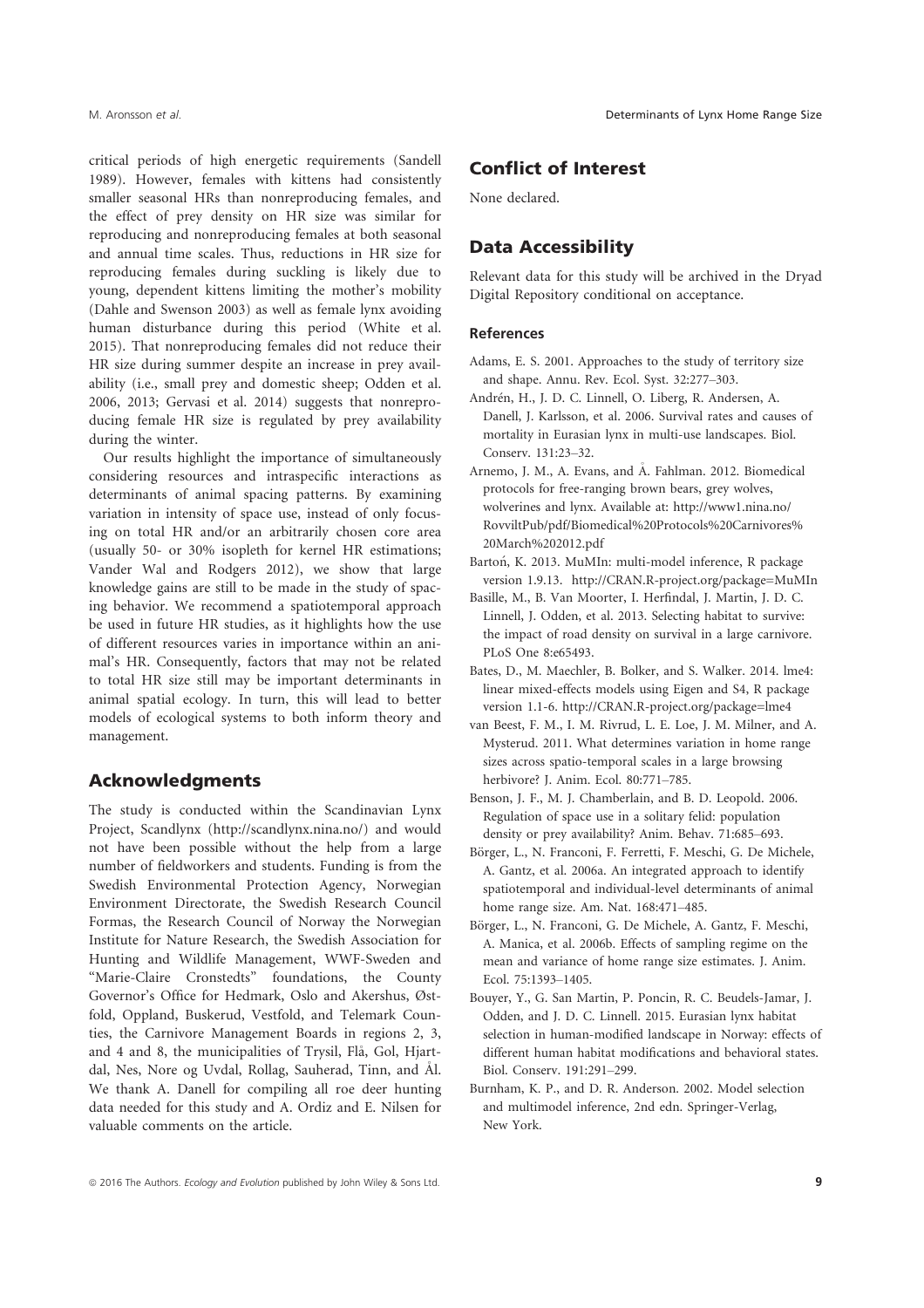critical periods of high energetic requirements (Sandell 1989). However, females with kittens had consistently smaller seasonal HRs than nonreproducing females, and the effect of prey density on HR size was similar for reproducing and nonreproducing females at both seasonal and annual time scales. Thus, reductions in HR size for reproducing females during suckling is likely due to young, dependent kittens limiting the mother's mobility (Dahle and Swenson 2003) as well as female lynx avoiding human disturbance during this period (White et al. 2015). That nonreproducing females did not reduce their HR size during summer despite an increase in prey availability (i.e., small prey and domestic sheep; Odden et al. 2006, 2013; Gervasi et al. 2014) suggests that nonreproducing female HR size is regulated by prey availability during the winter.

Our results highlight the importance of simultaneously considering resources and intraspecific interactions as determinants of animal spacing patterns. By examining variation in intensity of space use, instead of only focusing on total HR and/or an arbitrarily chosen core area (usually 50- or 30% isopleth for kernel HR estimations; Vander Wal and Rodgers 2012), we show that large knowledge gains are still to be made in the study of spacing behavior. We recommend a spatiotemporal approach be used in future HR studies, as it highlights how the use of different resources varies in importance within an animal's HR. Consequently, factors that may not be related to total HR size still may be important determinants in animal spatial ecology. In turn, this will lead to better models of ecological systems to both inform theory and management.

## Acknowledgments

The study is conducted within the Scandinavian Lynx Project, Scandlynx (http://scandlynx.nina.no/) and would not have been possible without the help from a large number of fieldworkers and students. Funding is from the Swedish Environmental Protection Agency, Norwegian Environment Directorate, the Swedish Research Council Formas, the Research Council of Norway the Norwegian Institute for Nature Research, the Swedish Association for Hunting and Wildlife Management, WWF-Sweden and "Marie-Claire Cronstedts" foundations, the County Governor's Office for Hedmark, Oslo and Akershus, Østfold, Oppland, Buskerud, Vestfold, and Telemark Counties, the Carnivore Management Boards in regions 2, 3, and 4 and 8, the municipalities of Trysil, Flå, Gol, Hjartdal, Nes, Nore og Uvdal, Rollag, Sauherad, Tinn, and Ål. We thank A. Danell for compiling all roe deer hunting data needed for this study and A. Ordiz and E. Nilsen for valuable comments on the article.

# Conflict of Interest

None declared.

# Data Accessibility

Relevant data for this study will be archived in the Dryad Digital Repository conditional on acceptance.

#### References

- Adams, E. S. 2001. Approaches to the study of territory size and shape. Annu. Rev. Ecol. Syst. 32:277–303.
- Andrén, H., J. D. C. Linnell, O. Liberg, R. Andersen, A. Danell, J. Karlsson, et al. 2006. Survival rates and causes of mortality in Eurasian lynx in multi-use landscapes. Biol. Conserv. 131:23–32.
- Arnemo, J. M., A. Evans, and Å. Fahlman. 2012. Biomedical protocols for free-ranging brown bears, grey wolves, wolverines and lynx. Available at: http://www1.nina.no/ RovviltPub/pdf/Biomedical%20Protocols%20Carnivores% 20March%202012.pdf
- Bartoń, K. 2013. MuMIn: multi-model inference, R package version 1.9.13. http://CRAN.R-project.org/package=MuMIn
- Basille, M., B. Van Moorter, I. Herfindal, J. Martin, J. D. C. Linnell, J. Odden, et al. 2013. Selecting habitat to survive: the impact of road density on survival in a large carnivore. PLoS One 8:e65493.
- Bates, D., M. Maechler, B. Bolker, and S. Walker. 2014. lme4: linear mixed-effects models using Eigen and S4, R package version 1.1-6. http://CRAN.R-project.org/package=lme4
- van Beest, F. M., I. M. Rivrud, L. E. Loe, J. M. Milner, and A. Mysterud. 2011. What determines variation in home range sizes across spatio-temporal scales in a large browsing herbivore? J. Anim. Ecol. 80:771–785.
- Benson, J. F., M. J. Chamberlain, and B. D. Leopold. 2006. Regulation of space use in a solitary felid: population density or prey availability? Anim. Behav. 71:685–693.
- Börger, L., N. Franconi, F. Ferretti, F. Meschi, G. De Michele, A. Gantz, et al. 2006a. An integrated approach to identify spatiotemporal and individual-level determinants of animal home range size. Am. Nat. 168:471–485.
- Börger, L., N. Franconi, G. De Michele, A. Gantz, F. Meschi, A. Manica, et al. 2006b. Effects of sampling regime on the mean and variance of home range size estimates. J. Anim. Ecol. 75:1393–1405.
- Bouyer, Y., G. San Martin, P. Poncin, R. C. Beudels-Jamar, J. Odden, and J. D. C. Linnell. 2015. Eurasian lynx habitat selection in human-modified landscape in Norway: effects of different human habitat modifications and behavioral states. Biol. Conserv. 191:291–299.
- Burnham, K. P., and D. R. Anderson. 2002. Model selection and multimodel inference, 2nd edn. Springer-Verlag, New York.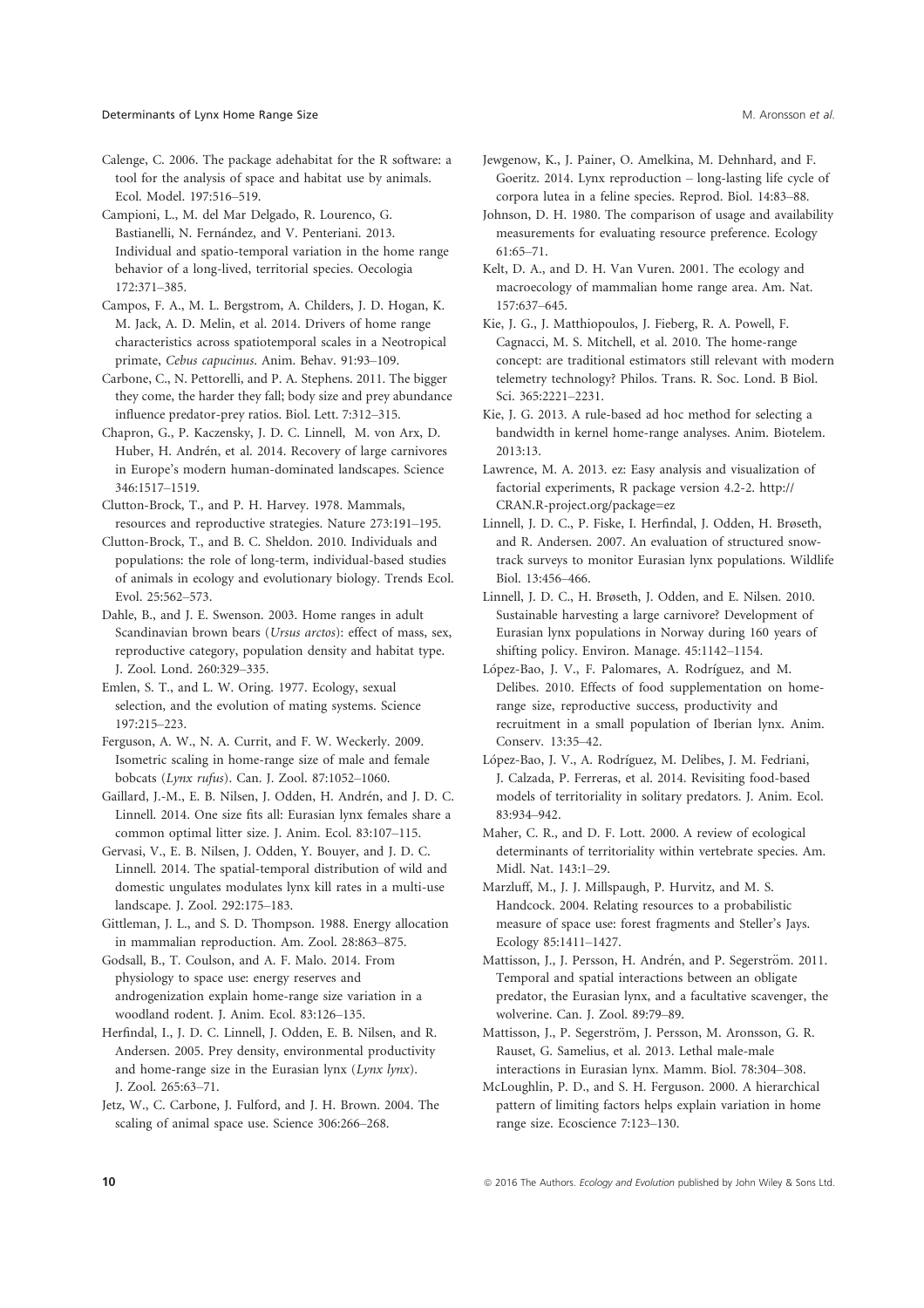Calenge, C. 2006. The package adehabitat for the R software: a tool for the analysis of space and habitat use by animals. Ecol. Model. 197:516–519.

Campioni, L., M. del Mar Delgado, R. Lourenco, G. Bastianelli, N. Fernández, and V. Penteriani. 2013. Individual and spatio-temporal variation in the home range behavior of a long-lived, territorial species. Oecologia 172:371–385.

Campos, F. A., M. L. Bergstrom, A. Childers, J. D. Hogan, K. M. Jack, A. D. Melin, et al. 2014. Drivers of home range characteristics across spatiotemporal scales in a Neotropical primate, Cebus capucinus. Anim. Behav. 91:93–109.

Carbone, C., N. Pettorelli, and P. A. Stephens. 2011. The bigger they come, the harder they fall; body size and prey abundance influence predator-prey ratios. Biol. Lett. 7:312–315.

Chapron, G., P. Kaczensky, J. D. C. Linnell, M. von Arx, D. Huber, H. Andrén, et al. 2014. Recovery of large carnivores in Europe's modern human-dominated landscapes. Science 346:1517–1519.

Clutton-Brock, T., and P. H. Harvey. 1978. Mammals, resources and reproductive strategies. Nature 273:191–195.

Clutton-Brock, T., and B. C. Sheldon. 2010. Individuals and populations: the role of long-term, individual-based studies of animals in ecology and evolutionary biology. Trends Ecol. Evol. 25:562–573.

Dahle, B., and J. E. Swenson. 2003. Home ranges in adult Scandinavian brown bears (*Ursus arctos*): effect of mass, sex, reproductive category, population density and habitat type. J. Zool. Lond. 260:329–335.

Emlen, S. T., and L. W. Oring. 1977. Ecology, sexual selection, and the evolution of mating systems. Science 197:215–223.

Ferguson, A. W., N. A. Currit, and F. W. Weckerly. 2009. Isometric scaling in home-range size of male and female bobcats (Lynx rufus). Can. J. Zool. 87:1052–1060.

Gaillard, J.-M., E. B. Nilsen, J. Odden, H. Andrén, and J. D. C. Linnell. 2014. One size fits all: Eurasian lynx females share a common optimal litter size. J. Anim. Ecol. 83:107–115.

Gervasi, V., E. B. Nilsen, J. Odden, Y. Bouyer, and J. D. C. Linnell. 2014. The spatial-temporal distribution of wild and domestic ungulates modulates lynx kill rates in a multi-use landscape. J. Zool. 292:175–183.

Gittleman, J. L., and S. D. Thompson. 1988. Energy allocation in mammalian reproduction. Am. Zool. 28:863–875.

Godsall, B., T. Coulson, and A. F. Malo. 2014. From physiology to space use: energy reserves and androgenization explain home-range size variation in a woodland rodent. J. Anim. Ecol. 83:126–135.

Herfindal, I., J. D. C. Linnell, J. Odden, E. B. Nilsen, and R. Andersen. 2005. Prey density, environmental productivity and home-range size in the Eurasian lynx (Lynx lynx). J. Zool. 265:63–71.

Jetz, W., C. Carbone, J. Fulford, and J. H. Brown. 2004. The scaling of animal space use. Science 306:266–268.

Jewgenow, K., J. Painer, O. Amelkina, M. Dehnhard, and F. Goeritz. 2014. Lynx reproduction – long-lasting life cycle of corpora lutea in a feline species. Reprod. Biol. 14:83–88.

Johnson, D. H. 1980. The comparison of usage and availability measurements for evaluating resource preference. Ecology 61:65–71.

Kelt, D. A., and D. H. Van Vuren. 2001. The ecology and macroecology of mammalian home range area. Am. Nat. 157:637–645.

Kie, J. G., J. Matthiopoulos, J. Fieberg, R. A. Powell, F. Cagnacci, M. S. Mitchell, et al. 2010. The home-range concept: are traditional estimators still relevant with modern telemetry technology? Philos. Trans. R. Soc. Lond. B Biol. Sci. 365:2221–2231.

Kie, J. G. 2013. A rule-based ad hoc method for selecting a bandwidth in kernel home-range analyses. Anim. Biotelem. 2013:13.

Lawrence, M. A. 2013. ez: Easy analysis and visualization of factorial experiments, R package version 4.2-2. http:// CRAN.R-project.org/package=ez

Linnell, J. D. C., P. Fiske, I. Herfindal, J. Odden, H. Brøseth, and R. Andersen. 2007. An evaluation of structured snowtrack surveys to monitor Eurasian lynx populations. Wildlife Biol. 13:456–466.

Linnell, J. D. C., H. Brøseth, J. Odden, and E. Nilsen. 2010. Sustainable harvesting a large carnivore? Development of Eurasian lynx populations in Norway during 160 years of shifting policy. Environ. Manage. 45:1142–1154.

López-Bao, J. V., F. Palomares, A. Rodríguez, and M. Delibes. 2010. Effects of food supplementation on homerange size, reproductive success, productivity and recruitment in a small population of Iberian lynx. Anim. Conserv. 13:35–42.

López-Bao, J. V., A. Rodríguez, M. Delibes, J. M. Fedriani, J. Calzada, P. Ferreras, et al. 2014. Revisiting food-based models of territoriality in solitary predators. J. Anim. Ecol. 83:934–942.

Maher, C. R., and D. F. Lott. 2000. A review of ecological determinants of territoriality within vertebrate species. Am. Midl. Nat. 143:1–29.

Marzluff, M., J. J. Millspaugh, P. Hurvitz, and M. S. Handcock. 2004. Relating resources to a probabilistic measure of space use: forest fragments and Steller's Jays. Ecology 85:1411–1427.

Mattisson, J., J. Persson, H. Andrén, and P. Segerström. 2011. Temporal and spatial interactions between an obligate predator, the Eurasian lynx, and a facultative scavenger, the wolverine. Can. J. Zool. 89:79–89.

Mattisson, J., P. Segerström, J. Persson, M. Aronsson, G. R. Rauset, G. Samelius, et al. 2013. Lethal male-male interactions in Eurasian lynx. Mamm. Biol. 78:304–308.

McLoughlin, P. D., and S. H. Ferguson. 2000. A hierarchical pattern of limiting factors helps explain variation in home range size. Ecoscience 7:123–130.

10 **10 2016** The Authors. *Ecology and Evolution published by John Wiley & Sons Ltd.*